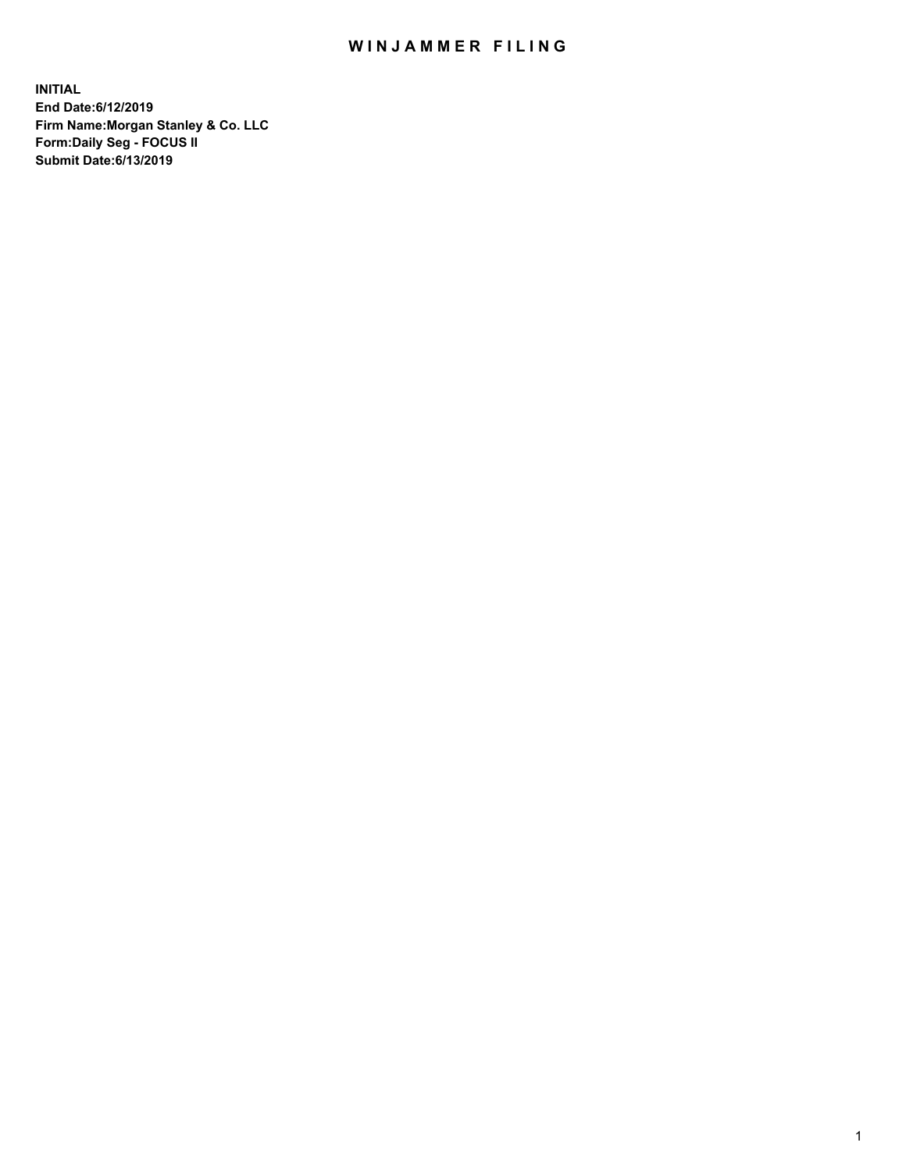## WIN JAMMER FILING

**INITIAL End Date:6/12/2019 Firm Name:Morgan Stanley & Co. LLC Form:Daily Seg - FOCUS II Submit Date:6/13/2019**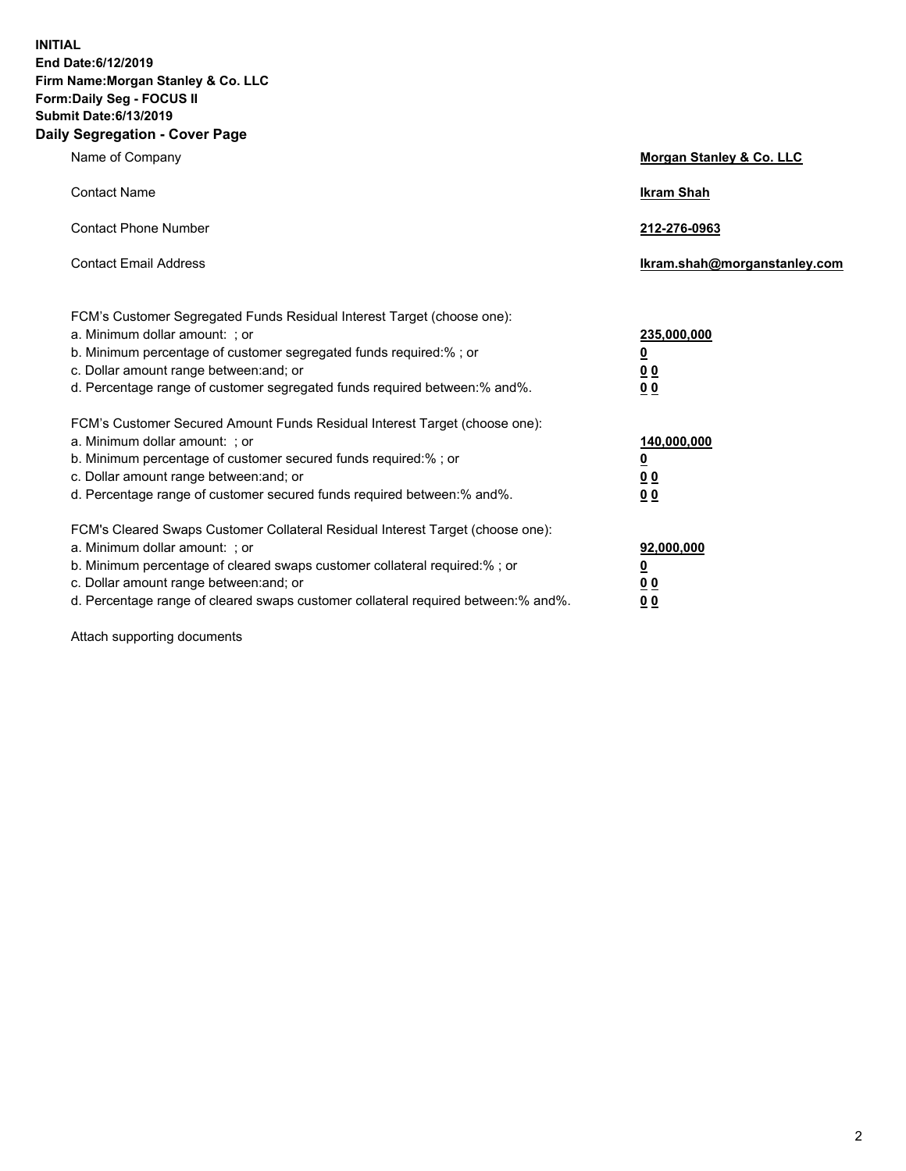**INITIAL End Date:6/12/2019 Firm Name:Morgan Stanley & Co. LLC Form:Daily Seg - FOCUS II Submit Date:6/13/2019 Daily Segregation - Cover Page**

| Name of Company                                                                                                                                                                                                                                                                                                                | Morgan Stanley & Co. LLC                               |
|--------------------------------------------------------------------------------------------------------------------------------------------------------------------------------------------------------------------------------------------------------------------------------------------------------------------------------|--------------------------------------------------------|
| <b>Contact Name</b>                                                                                                                                                                                                                                                                                                            | <b>Ikram Shah</b>                                      |
| <b>Contact Phone Number</b>                                                                                                                                                                                                                                                                                                    | 212-276-0963                                           |
| <b>Contact Email Address</b>                                                                                                                                                                                                                                                                                                   | Ikram.shah@morganstanley.com                           |
| FCM's Customer Segregated Funds Residual Interest Target (choose one):<br>a. Minimum dollar amount: ; or<br>b. Minimum percentage of customer segregated funds required:% ; or<br>c. Dollar amount range between: and; or<br>d. Percentage range of customer segregated funds required between:% and%.                         | 235,000,000<br><u>0</u><br><u>0 0</u><br>0 Q           |
| FCM's Customer Secured Amount Funds Residual Interest Target (choose one):<br>a. Minimum dollar amount: ; or<br>b. Minimum percentage of customer secured funds required:%; or<br>c. Dollar amount range between: and; or<br>d. Percentage range of customer secured funds required between:% and%.                            | 140,000,000<br><u>0</u><br><u>00</u><br>0 <sub>0</sub> |
| FCM's Cleared Swaps Customer Collateral Residual Interest Target (choose one):<br>a. Minimum dollar amount: ; or<br>b. Minimum percentage of cleared swaps customer collateral required:% ; or<br>c. Dollar amount range between: and; or<br>d. Percentage range of cleared swaps customer collateral required between:% and%. | 92,000,000<br><u>0</u><br><u>00</u><br>0 <sub>0</sub>  |

Attach supporting documents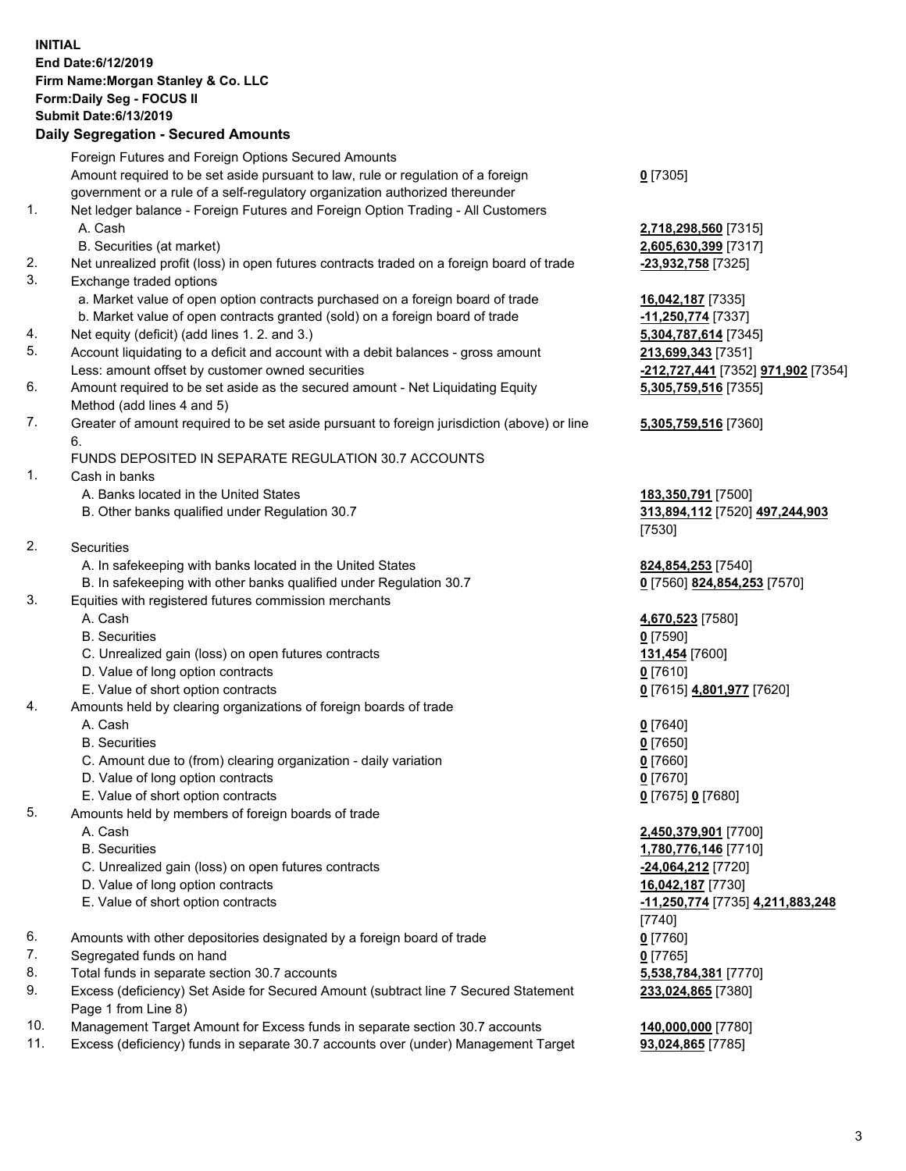## **INITIAL End Date:6/12/2019 Firm Name:Morgan Stanley & Co. LLC Form:Daily Seg - FOCUS II Submit Date:6/13/2019**

**Daily Segregation - Secured Amounts** Foreign Futures and Foreign Options Secured Amounts Amount required to be set aside pursuant to law, rule or regulation of a foreign government or a rule of a self-regulatory organization authorized thereunder 1. Net ledger balance - Foreign Futures and Foreign Option Trading - All Customers A. Cash **2,718,298,560** [7315] B. Securities (at market) **2,605,630,399** [7317] 2. Net unrealized profit (loss) in open futures contracts traded on a foreign board of trade **-23,932,758** [7325] 3. Exchange traded options a. Market value of open option contracts purchased on a foreign board of trade **16,042,187** [7335] b. Market value of open contracts granted (sold) on a foreign board of trade **-11,250,774** [7337] 4. Net equity (deficit) (add lines 1. 2. and 3.) **5,304,787,614** [7345] 5. Account liquidating to a deficit and account with a debit balances - gross amount **213,699,343** [7351] Less: amount offset by customer owned securities **-212,727,441** [7352] **971,902** [7354] 6. Amount required to be set aside as the secured amount - Net Liquidating Equity Method (add lines 4 and 5) 7. Greater of amount required to be set aside pursuant to foreign jurisdiction (above) or line 6. FUNDS DEPOSITED IN SEPARATE REGULATION 30.7 ACCOUNTS 1. Cash in banks A. Banks located in the United States **183,350,791** [7500] B. Other banks qualified under Regulation 30.7 **313,894,112** [7520] **497,244,903** 2. Securities A. In safekeeping with banks located in the United States **824,854,253** [7540] B. In safekeeping with other banks qualified under Regulation 30.7 **0** [7560] **824,854,253** [7570] 3. Equities with registered futures commission merchants A. Cash **4,670,523** [7580] B. Securities **0** [7590] C. Unrealized gain (loss) on open futures contracts **131,454** [7600] D. Value of long option contracts **0** [7610] E. Value of short option contracts **0** [7615] **4,801,977** [7620] 4. Amounts held by clearing organizations of foreign boards of trade A. Cash **0** [7640] B. Securities **0** [7650] C. Amount due to (from) clearing organization - daily variation **0** [7660] D. Value of long option contracts **0** [7670] E. Value of short option contracts **0** [7675] **0** [7680] 5. Amounts held by members of foreign boards of trade A. Cash **2,450,379,901** [7700] B. Securities **1,780,776,146** [7710] C. Unrealized gain (loss) on open futures contracts **-24,064,212** [7720]

- D. Value of long option contracts **16,042,187** [7730]
- 
- 6. Amounts with other depositories designated by a foreign board of trade **0** [7760]
- 7. Segregated funds on hand **0** [7765]
- 8. Total funds in separate section 30.7 accounts **5,538,784,381** [7770]
- 9. Excess (deficiency) Set Aside for Secured Amount (subtract line 7 Secured Statement Page 1 from Line 8)
- 10. Management Target Amount for Excess funds in separate section 30.7 accounts **140,000,000** [7780]
- 11. Excess (deficiency) funds in separate 30.7 accounts over (under) Management Target **93,024,865** [7785]

**0** [7305]

**5,305,759,516** [7355]

## **5,305,759,516** [7360]

[7530]

 E. Value of short option contracts **-11,250,774** [7735] **4,211,883,248** [7740] **233,024,865** [7380]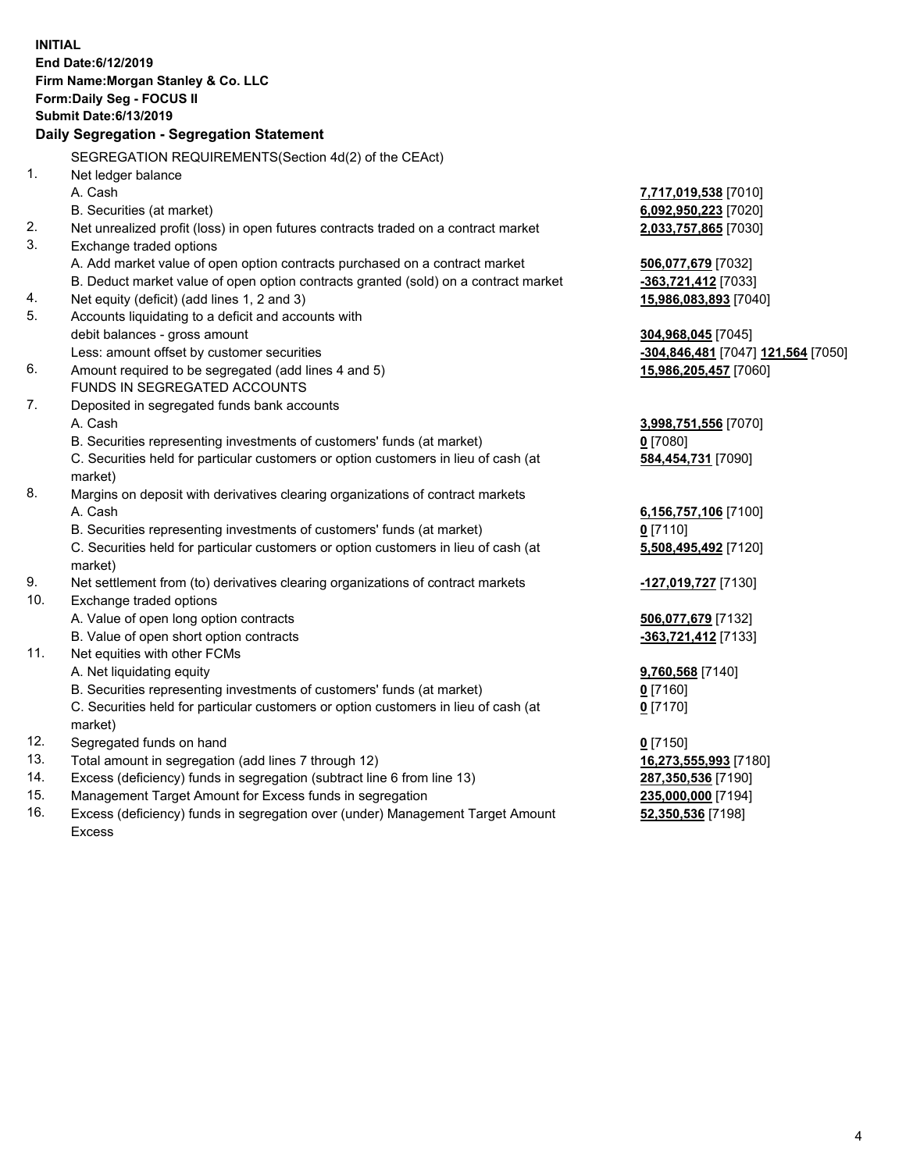|                | <b>INITIAL</b><br>End Date: 6/12/2019<br>Firm Name: Morgan Stanley & Co. LLC<br>Form: Daily Seg - FOCUS II<br><b>Submit Date:6/13/2019</b><br>Daily Segregation - Segregation Statement |                                    |
|----------------|-----------------------------------------------------------------------------------------------------------------------------------------------------------------------------------------|------------------------------------|
|                | SEGREGATION REQUIREMENTS(Section 4d(2) of the CEAct)                                                                                                                                    |                                    |
| 1 <sub>1</sub> | Net ledger balance                                                                                                                                                                      |                                    |
|                | A. Cash                                                                                                                                                                                 | 7,717,019,538 [7010]               |
|                | B. Securities (at market)                                                                                                                                                               | 6,092,950,223 [7020]               |
| 2.             | Net unrealized profit (loss) in open futures contracts traded on a contract market                                                                                                      | 2,033,757,865 [7030]               |
| 3.             | Exchange traded options                                                                                                                                                                 |                                    |
|                | A. Add market value of open option contracts purchased on a contract market                                                                                                             | 506,077,679 [7032]                 |
|                | B. Deduct market value of open option contracts granted (sold) on a contract market                                                                                                     | -363,721,412 [7033]                |
| 4.             | Net equity (deficit) (add lines 1, 2 and 3)                                                                                                                                             | 15,986,083,893 [7040]              |
| 5.             | Accounts liquidating to a deficit and accounts with                                                                                                                                     |                                    |
|                | debit balances - gross amount                                                                                                                                                           | 304,968,045 [7045]                 |
|                | Less: amount offset by customer securities                                                                                                                                              | -304,846,481 [7047] 121,564 [7050] |
| 6.             | Amount required to be segregated (add lines 4 and 5)                                                                                                                                    | 15,986,205,457 [7060]              |
|                | FUNDS IN SEGREGATED ACCOUNTS                                                                                                                                                            |                                    |
| 7.             | Deposited in segregated funds bank accounts                                                                                                                                             |                                    |
|                | A. Cash                                                                                                                                                                                 | 3,998,751,556 [7070]               |
|                | B. Securities representing investments of customers' funds (at market)                                                                                                                  | $0$ [7080]                         |
|                | C. Securities held for particular customers or option customers in lieu of cash (at                                                                                                     | 584,454,731 [7090]                 |
|                | market)                                                                                                                                                                                 |                                    |
| 8.             | Margins on deposit with derivatives clearing organizations of contract markets                                                                                                          |                                    |
|                | A. Cash                                                                                                                                                                                 | 6,156,757,106 [7100]               |
|                | B. Securities representing investments of customers' funds (at market)                                                                                                                  | $0$ [7110]                         |
|                | C. Securities held for particular customers or option customers in lieu of cash (at<br>market)                                                                                          | 5,508,495,492 [7120]               |
| 9.             | Net settlement from (to) derivatives clearing organizations of contract markets                                                                                                         | -127,019,727 [7130]                |
| 10.            | Exchange traded options                                                                                                                                                                 |                                    |
|                | A. Value of open long option contracts                                                                                                                                                  | 506,077,679 [7132]                 |
|                | B. Value of open short option contracts                                                                                                                                                 | -363,721,412 [7133]                |
| 11.            | Net equities with other FCMs                                                                                                                                                            |                                    |
|                | A. Net liquidating equity                                                                                                                                                               | 9,760,568 [7140]                   |
|                | B. Securities representing investments of customers' funds (at market)                                                                                                                  | <u>0</u> [7160]                    |
|                | C. Securities held for particular customers or option customers in lieu of cash (at<br>market)                                                                                          | $0$ [7170]                         |
| 12.            | Segregated funds on hand                                                                                                                                                                | $0$ [7150]                         |
| 13.            | Total amount in segregation (add lines 7 through 12)                                                                                                                                    | 16,273,555,993 [7180]              |
| 14.            | Excess (deficiency) funds in segregation (subtract line 6 from line 13)                                                                                                                 | 287,350,536 [7190]                 |
| 15.            | Management Target Amount for Excess funds in segregation                                                                                                                                | 235,000,000 [7194]                 |
| 16.            | Excess (deficiency) funds in segregation over (under) Management Target Amount                                                                                                          | 52,350,536 [7198]                  |

16. Excess (deficiency) funds in segregation over (under) Management Target Amount Excess